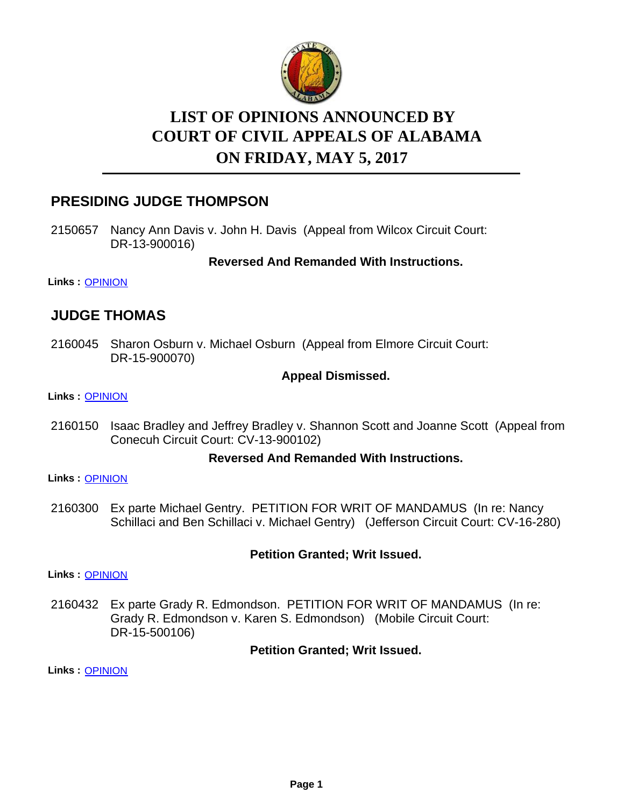

# **LIST OF OPINIONS ANNOUNCED BY ON FRIDAY, MAY 5, 2017 COURT OF CIVIL APPEALS OF ALABAMA**

# **PRESIDING JUDGE THOMPSON**

2150657 Nancy Ann Davis v. John H. Davis (Appeal from Wilcox Circuit Court: DR-13-900016)

**Reversed And Remanded With Instructions.**

**Links :** [OPINION](https://acis.alabama.gov/displaydocs.cfm?no=800763&event=4WS0KRVH4)

# **JUDGE THOMAS**

2160045 Sharon Osburn v. Michael Osburn (Appeal from Elmore Circuit Court: DR-15-900070)

### **Appeal Dismissed.**

**Links :** [OPINION](https://acis.alabama.gov/displaydocs.cfm?no=800769&event=4WS0KRWLF)

2160150 Isaac Bradley and Jeffrey Bradley v. Shannon Scott and Joanne Scott (Appeal from Conecuh Circuit Court: CV-13-900102)

### **Reversed And Remanded With Instructions.**

**Links :** [OPINION](https://acis.alabama.gov/displaydocs.cfm?no=800770&event=4WS0KRWRH)

2160300 Ex parte Michael Gentry. PETITION FOR WRIT OF MANDAMUS (In re: Nancy Schillaci and Ben Schillaci v. Michael Gentry) (Jefferson Circuit Court: CV-16-280)

### **Petition Granted; Writ Issued.**

**Links :** [OPINION](https://acis.alabama.gov/displaydocs.cfm?no=800772&event=4WS0KRXAK)

2160432 Ex parte Grady R. Edmondson. PETITION FOR WRIT OF MANDAMUS (In re: Grady R. Edmondson v. Karen S. Edmondson) (Mobile Circuit Court: DR-15-500106)

**Petition Granted; Writ Issued.**

**Links :** [OPINION](https://acis.alabama.gov/displaydocs.cfm?no=800773&event=4WS0KRXN5)